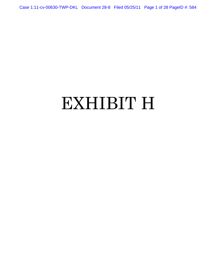Case 1:11-cv-00630-TWP-DKL Document 28-8 Filed 05/25/11 Page 1 of 28 PageID #: 584

# EXHIBIT H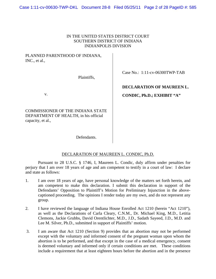## IN THE UNITED STATES DISTRICT COURT SOUTHERN DISTRICT OF INDIANA INDIANPOLIS DIVISION

## PLANNED PARENTHOOD OF INDIANA, INC., et al.,

Plaintiffs,

v.

COMMISSIONER OF THE INDIANA STATE DEPARTMENT OF HEALTH, in his official capacity, et al.,

Case No.: 1:11-cv-06300TWP-TAB

## **DECLARATION OF MAUREEN L.**

 **CONDIC, Ph.D.; EXHIBIT "A"** 

Defendants.

## DECLARATION OF MAUREEN L. CONDIC, Ph.D.

 Pursuant to 28 U.S.C. § 1746, I, Maureen L. Condic, duly affirm under penalties for perjury that I am over 18 years of age and am competent to testify in a court of law: I declare and state as follows:

- 1. I am over 18 years of age, have personal knowledge of the matters set forth herein, and am competent to make this declaration. I submit this declaration in support of the Defendants' Opposition to Plaintiff's Motion for Preliminary Injunction in the abovecaptioned proceeding. The opinions I render today are my own, and do not represent any group.
- 2. I have reviewed the language of Indiana House Enrolled Act 1210 (herein "Act 1210"), as well as the Declarations of Carla Cleary, C.N.M., Dr. Michael King, M.D., Letitia Clemons, Jackie Grubbs, David Orentlichter, M.D., J.D., Sadath Sayeed, J.D., M.D. and Lee M. Silver, Ph.D., submitted in support of Plaintiffs' motion.
- 3. I am aware that Act 1210 (Section 9) provides that an abortion may not be performed except with the voluntary and informed consent of the pregnant woman upon whom the abortion is to be performed, and that except in the case of a medical emergency, consent is deemed voluntary and informed only if certain conditions are met. These conditions include a requirement that at least eighteen hours before the abortion and in the presence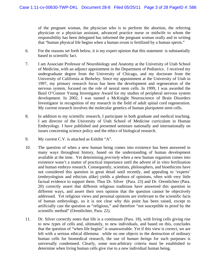of the pregnant woman, the physician who is to perform the abortion, the referring physician or a physician assistant, advanced practice nurse or midwife to whom the responsibility has been delegated has informed the pregnant woman orally and in writing that "human physical life begins when a human ovum is fertilized by a human sperm."

- 6. For the reasons set forth below, it is my expert opinion that this statement is substantially based in scientific fact.
- 7. I am Associate Professor of Neurobiology and Anatomy at the University of Utah School of Medicine, with an adjunct appointment in the Department of Pediatrics. I received my undergraduate degree from the University of Chicago, and my doctorate from the University of California at Berkeley. Since my appointment at the University of Utah in 1997, my primary research focus has been the development and regeneration of the nervous system, focused on the role of neural stem cells. In 1999, I was awarded the Basil O'Connor Young Investigator Award for my studies of peripheral nervous system development. In 2002, I was named a McKnight Neuroscience of Brain Disorders Investigator in recognition of my research in the field of adult spinal cord regeneration. My current research involves the molecular genetics of human pluripotent stem cells.
- 8. In addition to my scientific research, I participate in both graduate and medical teaching. I am director of the University of Utah School of Medicine curriculum in Human Embryology. I have published and presented seminars nationally and internationally on issues concerning science policy and the ethics of biological research.
- 9. My current C.V. is attached as Exhibit "A".
- 10. The question of when a new human being comes into existence has been answered in many ways throughout history, based on the understanding of human development available at the time. Yet determining *precisely* when a new human organism comes into existence wasn't a matter of practical importance until the advent of in vitro fertilization and human embryo research. Consequently, scientists, philosophers, and bioethicists have not considered this question in great detail until recently, and appealing to 'experts' (embryologists and ethicists alike) yields a plethora of opinions, often with very little factual evidence to support them. Thus Dr. Silver (Para. 23) and Dr. Orentlichter (Para. 20) correctly assert that different religious traditions have answered this question in different ways, and assert their own opinion that the question cannot be objectively addressed. Yet religious views and personal opinions are irrelevant to the scientific facts of human embryology, so it is not clear why this point has been raised, except to artificially cast the question as "religious," and therefore "not susceptible to proof by the scientific method" (Orentlichter, Para. 22).
- 11. Dr. Silver correctly notes that life is a continuum (Para. 18), with living cells giving rise to new types of cells and, ultimately, to new individuals, and based on this, concludes that the question of "when life begins" is unanswerable. Yet if this view is correct, we are left with a serious ethical dilemma: while no one objects to the destruction of ordinary human cells for biomedical research, the use of *human beings* for such purposes is universally condemned. Clearly, some non-arbitrary criteria must be established to determine when living human cells give rise to a new individual human being.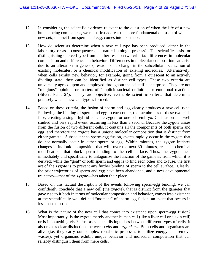- 12. In considering the scientific evidence relevant to the question of when the life of a new human being commences, we must first address the more fundamental question of when a new *cell*, distinct from sperm and egg, comes into existence.
- 13. How do scientists determine when a new cell type has been produced, either in the laboratory or as a consequence of a natural biologic process? The scientific basis for distinguishing one cell type from another rests on two criteria: differences in molecular composition and differences in behavior. Differences in molecular composition can arise due to an alteration in gene expression, or a change in the subcellular localization of existing molecules, or a chemical modification of existing molecules. Alternatively, when cells exhibit new behavior, for example, going from a quiescent to an actively dividing state, they can be identified as distinct cell types. These two criteria are universally agreed upon and employed throughout the scientific enterprise. They are not "religious" opinions or matters of "implicit societal definition or emotional reaction" (Silver, Para. 24). They are objective, verifiable scientific criteria that determine precisely when a new cell type is formed.
- 14. Based on these criteria, the fusion of sperm and egg clearly produces a new cell type. Following the binding of sperm and egg to each other, the membranes of these two cells fuse, creating a single hybrid cell: the zygote or one-cell embryo. Cell fusion is a well studied and very rapid event, occurring in less than a second. Because the zygote arises from the fusion of two different cells, it contains all the components of both sperm and egg, and therefore the zygote has a unique molecular composition that is distinct from either gamete. Subsequent to sperm-egg fusion, events rapidly occur in the zygote that do not normally occur in either sperm or egg. Within minutes, the zygote initiates changes in its ionic composition that will, over the next 30 minutes, result in chemical modifications that block sperm binding to the cell surface. Thus, the zygote acts immediately and specifically to antagonize the function of the gametes from which it is derived; while the "goal" of both sperm and egg is to find each other and to fuse, the first act of the zygote is to prevent any further binding of sperm to the cell surface. Clearly, the prior trajectories of sperm and egg have been abandoned, and a new developmental trajectory—that of the zygote—has taken their place.
- 15. Based on this factual description of the events following sperm-egg binding, we can confidently conclude that a new cell (the zygote), that is distinct from the gametes that gave rise to it both in terms of molecular composition and behavior, comes into existence at the scientifically well defined "moment" of sperm-egg fusion, an event that occurs in less than a second.
- 16. What is the nature of the new cell that comes into existence upon sperm-egg fusion? Most importantly, is the zygote merely another human cell (like a liver cell or a skin cell) or is it something else? Just as science distinguishes between different types of cells, it also makes clear distinctions between *cells* and *organisms*. Both cells and organisms are alive (i.e. they carry out complex metabolic processes to utilize energy and remove wastes), yet organisms exhibit unique behavior and molecular composition that can reliably distinguish them from mere cells.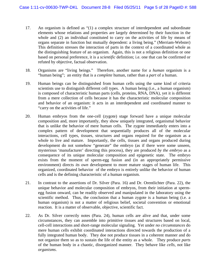- 17. An organism is defined as "(1) a complex structure of interdependent and subordinate elements whose relations and properties are largely determined by their function in the whole and (2) an individual constituted to carry on the activities of life by means of organs separate in function but mutually dependent: a living being." (Merriam-Webster) This definition stresses the interaction of parts in the context of a coordinated whole as the distinguishing feature of an organism. Again, this is not a religious definition or one based on personal preference, it is a *scientific* definition; i.e. one that can be confirmed or refuted by objective, factual observation.
- 18. Organisms are "living beings." Therefore, another name for a *human* organism is a "human being"; an entity that is a *complete* human, rather than a *part* of a human.
- 19. Human beings can be distinguished from human cells using the same kind of criteria scientists use to distinguish different cell types. A human being (i.e., a human organism) is composed of characteristic human parts (cells, proteins, RNA, DNA), yet it is different from a mere collection of cells because it has the characteristic molecular composition and behavior of an organism: it acts in an interdependent and coordinated manner to "carry on the activities of life."
- 20. Human embryos from the one-cell (zygote) stage forward have a unique molecular composition and, more importantly, they show uniquely integrated, organismal behavior that is unlike the behavior of mere human cells. The zygote immediately enters into a complex pattern of development that sequentially produces all of the molecular interactions, cell types, tissues, structures and organs required for the organism as a whole to live and mature. Importantly, the cells, tissues and organs produced during development do not somehow "generate" the embryo (as if there were some unseen, mysterious 'manufacturer' directing this process), they are produced *by the embryo* as a consequence of its unique molecular composition and epigenetic state. The embryo exists from the moment of sperm-egg fusion and (in an appropriately permissive environment) directs *its own* development to more mature stages of human life. This organized, coordinated behavior of the embryo is entirely unlike the behavior of human cells and is the defining characteristic of a human organism.
- 21. In contrast to the assertions of Dr. Silver (Para. 16) and Dr. Orentlichter (Para. 22), the unique behavior and molecular composition of embryos, from their initiation at spermegg fusion onward, can be readily observed and manipulated in the laboratory using the scientific method. Thus, the conclusion that a human zygote is a human being (i.e. a human organism) is not a matter of religious belief, societal convention or emotional reaction. It is a matter of observable, objective, scientific fact.
- 22. As Dr. Silver correctly notes (Para. 24), human cells are alive and that, under some circumstances, they can assemble into primitive tissues and structures based on local, cell-cell interactions and short-range molecular signaling. Yet under *no circumstances* do mere human cells exhibit coordinated interactions directed towards the production of a fully integrated human body. They doe not produce tissues in a coherent manner and do not organize them so as to sustain the life of the entity as a whole. They produce *parts* of the human body in a chaotic, disorganized manner. They behave like *cells*, not like *organisms*.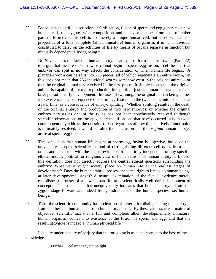- 23. Based on a scientific description of fertilization, fusion of sperm and egg generates a new human cell, the zygote, with composition and behavior distinct from that of either gamete. Moreover, this cell is not merely a unique human cell, but a cell with all the properties of a fully complete (albeit immature) human organism; it is "an individual constituted to carry on the activities of life by means of organs separate in function but mutually dependent: a living being."
- 24. Dr. Silver raises the fact that human embryos can split to form identical twins (Para. 22) to argue that the life of both twins cannot begin at sperm-egg fusion. Yet the fact that embryos can split in no way affects the consideration of when human life begins. A planarian worm can be split into 256 pieces, all of which regenerate an entire worm, yet this does not mean that 256 individual worms somehow exist in the original animal—or that the original animal never existed in the first place. It simply means that the original animal is capable of asexual reproduction by splitting, just as human embryos are for a brief period in early development. In cases of twinning, the original human being comes into existence as a consequence of sperm-egg fusion and the twins come into existence at a later time, as a consequence of embryo splitting. Whether splitting results in the death of the original embryo and production of two new embryos, or whether the original embryo persists as one of the twins has not been conclusively resolved (although scientific observations on the epigenetic modifications that have occurred in both twins could potentially address the question). Yet regardless of how this relatively minor point is ultimately resolved, it would not alter the conclusion that the *original* human embryo arose at sperm-egg fusion.
- 25. The conclusion that human life begins at sperm-egg fusion is objective, based on the universally accepted scientific method of distinguishing different cell types from each other, and consistent with the factual evidence. It is entirely independent of any specific ethical, moral, political, or religious view of human life or of human embryos. Indeed, this definition does not directly address the central ethical questions surrounding the embryo: What value ought society place on human life at the earliest stages of development? Does the human embryo possess the same right to life as do human beings at later developmental stages? A neutral examination of the factual evidence merely establishes the onset of a new human life at a scientifically well defined "moment of conception," a conclusion that unequivocally indicates that human embryos from the zygote stage forward are indeed living individuals of the human species; i.e. human beings.
- 26. Thus, the scientific community has a clear set of criteria for distinguishing one cell type from another and human cells from human organisms. By these criteria, it is a matter of objective, scientific fact that a full and complete, albeit developmentally immature, human organism comes into existence at the fusion of sperm and egg, and that the resulting zygote is indeed a "human physical life."

 I declare under penalty of perjury that the foregoing is true and correct to the best of my knowledge.

Further, Declarant sayeth naught.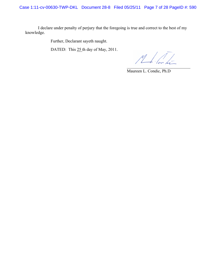Case 1:11-cv-00630-TWP-DKL Document 28-8 Filed 05/25/11 Page 7 of 28 PageID #: 590

I declare under penalty of perjury that the foregoing is true and correct to the best of my knowledge.

Further, Declarant sayeth naught.

DATED: This 25 th day of May, 2011.

 $M/\sqrt{1-\epsilon}$  $\mathcal{L}$  , we can also the contribution of the contribution of  $\mathcal{L}$ 

Maureen L. Condic, Ph.D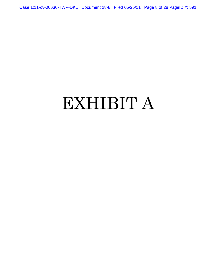Case 1:11-cv-00630-TWP-DKL Document 28-8 Filed 05/25/11 Page 8 of 28 PageID #: 591

# EXHIBIT A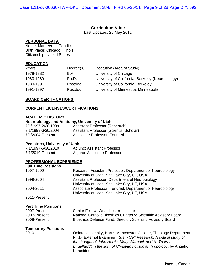## **Curriculum Vitae**

Last Updated: 25 May 2011

#### **PERSONAL DATA**

Name: Maureen L. Condic Birth Place: Chicago, Illinois Citizenship: United States

#### **EDUCATION**

| Years     | Degree(s) | <b>Institution (Area of Study)</b>                |
|-----------|-----------|---------------------------------------------------|
| 1978-1982 | B.A.      | University of Chicago                             |
| 1983-1989 | Ph.D.     | University of California, Berkeley (Neurobiology) |
| 1989-1991 | Postdoc   | University of California, Berkeley                |
| 1991-1997 | Postdoc   | University of Minnesota, Minneapolis              |

#### **BOARD CERTIFICATIONS:**

#### **CURRENT LICENSES/CERTIFICATIONS**

## **ACADEMIC HISTORY**

## **Neurobiology and Anatomy, University of Utah**

| 7/1/1997-2/28/1999 | <b>Assistant Professor (Research)</b>   |
|--------------------|-----------------------------------------|
| 3/1/1999-6/30/2004 | Assistant Professor (Scientist Scholar) |
| 7/1/2004-Present   | Associate Professor, Tenured            |

## **Pediatrics, University of Utah**

| 7/1/1997-6/30/2010 | <b>Adjunct Assistant Professor</b> |
|--------------------|------------------------------------|
| 7/1/2010-Present   | <b>Adjunct Associate Professor</b> |

#### **PROFESSIONAL EXPERIENCE**

| <b>Full Time Positions</b> |                                                                  |
|----------------------------|------------------------------------------------------------------|
| 1997-1999                  | Research Assistant Professor, Department of Neurobiology         |
|                            | University of Utah, Salt Lake City, UT, USA                      |
| 1999-2004                  | Assistant Professor, Department of Neurobiology                  |
|                            | University of Utah, Salt Lake City, UT, USA                      |
| 2004-2011                  | Associate Professor, Tenured, Department of Neurobiology         |
|                            | University of Utah, Salt Lake City, UT, USA                      |
| 2011-Present               |                                                                  |
| <b>Part Time Positions</b> |                                                                  |
| 2007-Present               | Senior Fellow, Westchester Institute                             |
| 2007-Present               | National Catholic Bioethics Quarterly; Scientific Advisory Board |
| 2008-Present               | Bioethics Defense Fund; Director, Scientific Advisory Board      |

## **Temporary Positions**

2010 Oxford University, Harris Manchester College, Theology Department Ph.D. External Examiner. *Stem Cell Research, A critical study of the thought of John Harris, Mary Warnock and H. Tristram Engelhardt in the light of Christian holistic anthropology*, by Angeliki Kerasidou.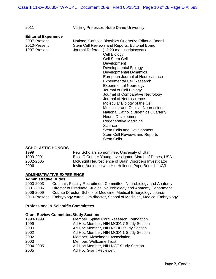2011 Visiting Professor, Notre Dame University.

#### **Editorial Experience**

2007-Present National Catholic Bioethics Quarterly; Editorial Board 2010-Present Stem Cell Reviews and Reports, Editorial Board 1997-Present Journal Referee: (12-20 manuscripts/year) Cell Biology Cell Stem Cell Development Developmental Biology Developmental Dynamics European Journal of Neuroscience Experimental Cell Research Experimental Neurology Journal of Cell Biology Journal of Comparative Neurology Journal of Neuroscience Molecular Biology of the Cell Molecular and Cellular Neuroscience National Catholic Bioethics Quarterly Neural Development Regenerative Medicine **Science** Stem Cells and Development

Stem Cell Reviews and Reports Stem Cells

#### **SCHOLASTIC HONORS**

1999 Pew Scholarship nominee, University of Utah 1999-2001 Basil O'Conner Young Investigator, March of Dimes, USA 2002-2005 McKnight Neuroscience of Brain Disorders Investigator 2006 Invited Audience with His Holiness Pope Benedict XVI

#### **ADMINISTRATIVE EXPERIENCE**

#### **Administrative Duties**

2000-2003 Co-chair, Faculty Recruitment Committee, Neurobiology and Anatomy. 2001-2006 Director of Graduate Studies, Neurobiology and Anatomy Department. 2006-2009 Course Director, School of Medicine, Medical Embryology course. 2010-Present Embryology curriculum director, School of Medicine, Medical Embryology.

#### **Professional & Scientific Committees**

#### **Grant Review Committee/Study Sections**

| 1998-1999 | Member, Spinal Cord Research Foundation |
|-----------|-----------------------------------------|
| 1999      | Ad Hoc Member, NIH MCDN7 Study Section  |
| 2000      | Ad Hoc Member, NIH NSDB Study Section   |
| 2002      | Ad Hoc Member, NIH MCDN1 Study Section  |
| 2002      | Member, Alzheimer's Association         |
| 2003      | Member, Wellcome Trust                  |
| 2004-2005 | Ad Hoc Member, NIH NCF Study Section    |
| 2005      | Ad Hoc Grant Reviewer,                  |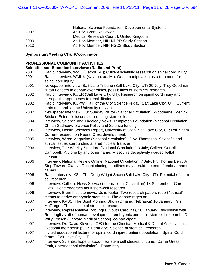|      | National Science Foundation, Developmental Systems |
|------|----------------------------------------------------|
| 2007 | Ad Hoc Grant Reviewer                              |
|      | Medical Research Council, United Kingdom           |
| 2009 | Ad Hoc Member, NIH NDPR Study Section              |
| 2010 | Ad Hoc Member, NIH NSC2 Study Section              |

## **Symposium/Meeting Chair/Coordinator**

#### **PROFESSIONAL COMMUNITY ACTIVITIES**

#### **Scientific and Bioethics interviews (Radio and Print)**

| 2001 | Radio interview, WWJ (Detroit, MI); Current scientific research on spinal cord injury.                                                            |
|------|---------------------------------------------------------------------------------------------------------------------------------------------------|
| 2001 | Radio interview, WMUK (Kalamazoo, MI); Gene manipulation as a treatment for                                                                       |
|      | spinal cord injury.                                                                                                                               |
| 2001 | Newspaper interview, Salt Lake Tribune (Salt Lake City, UT) 29 July; Troy Goodman                                                                 |
|      | "Utah Leaders in debate over ethics, possibilities of stem cell research".                                                                        |
| 2002 | Radio interview, KUER (Salt Lake City, UT); Research on spinal cord injury and                                                                    |
|      | therapeutic approaches to rehabilitation.                                                                                                         |
| 2002 | Radio interview, KCPW, Talk of the City Science Friday (Salt Lake City, UT); Current                                                              |
|      | brain research at the University of Utah.                                                                                                         |
| 2002 | Newspaper interview; Our Sunday Visitor (National circulation); Woodeene Koenig-                                                                  |
|      | Bricker. Scientific issues surrounding stem cells.                                                                                                |
| 2004 | Interview, Science and Theology News, Templeton Foundation (National circulation);                                                                |
|      | Chhari Sadhcev. Science Policy and Science funding.                                                                                               |
| 2005 | Interview, Health Sciences Report, University of Utah, Salt Lake City, UT; Phil Sahm.                                                             |
|      | Current research on Neural Crest development.                                                                                                     |
| 2005 | Interview, Wired Magazine (National circulation); Clive Thompson. Scientific and                                                                  |
|      | ethical issues surrounding altered nuclear transfer.                                                                                              |
| 2006 | Interview, The Weekly Standard (National Circulation) 3 July; Colleen Carroll                                                                     |
|      | Campbell. A clone by any other name; Missouri's deceptively worded ballot                                                                         |
|      | measure.                                                                                                                                          |
| 2006 | Interview, National Review Online (National Circulation) 7 July; Fr. Thomas Berg. A                                                               |
|      | Step Toward Clarity. Recent cloning headlines may herald the end of embryo name                                                                   |
|      | games.                                                                                                                                            |
| 2006 | Radio Interview, KSL, The Doug Wright Show (Salt Lake City, UT); Potential of stem                                                                |
|      | cell research.                                                                                                                                    |
| 2006 | Interview, Catholic News Service (International Circulation) 18 September; Carol                                                                  |
|      | Glatz. Pope endorses adult stem-cell research.                                                                                                    |
| 2006 | Interview, Brain Institute news; Julie Kiefer. Two research papers report "ethical"<br>means to derive embryonic stem cells; The debate rages on. |
| 2007 | Interview, KVSS, The Spirit Morning Show (Omaha, Nebraska) 10 January; Kris                                                                       |
|      | McGregor, The science of stem cell research.                                                                                                      |
| 2007 | Interview, Representative Rob Inglis (South Carolina), 10 January; Discussion with                                                                |
|      | Rep. Inglis staff of human development, embryonic and adult stem cell research. Dr.                                                               |
|      | Willy Lensch (Harvard Medical School), co-participant.                                                                                            |
| 2007 | Interview, Dr. David Stevens, CEO for the Christian Medical & Dental Associations                                                                 |
|      | (National membership) 12 February; Science of stem cell research.                                                                                 |
| 2007 | Invited educational lecture for spinal cord injured patient population, Spinal Cord                                                               |
|      | forum, Salt Lake City, UT.                                                                                                                        |
| 2007 | Interview. Scientist hopeful about new stem cell studies. 6 June; Carrie Gress.                                                                   |
|      | Zenit, (International circulation). Rome Italy.                                                                                                   |
|      |                                                                                                                                                   |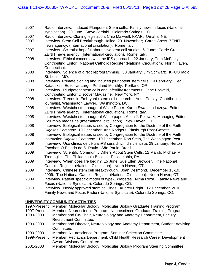- 2007 Radio Interview. Induced Pluripotent Stem cells. Family news in focus (National syndication). 20 June. Steve Jordahl. Colorado Springs, CO.
- 2007 Radio Interview. Cloning legislation. Chip Maxwell. KKAR. Omaha, NE.
- 2007 Interview. Stem Cell Breakthrough Hailed. 20 November; Carrie Gress. ZENIT news agency, (International circulation). Rome Italy.
- 2007 Interview . Scientist hopeful about new stem cell studies. 6 June; Carrie Gress. ZENIT news agency, (International circulation). Rome Italy.
- 2008 Interview. Ethical concerns with the iPS approach. 22 January; Tom McFeely, Contributing Editor. National Catholic Register (National Circulation). North Haven, Connecticut.
- 2008 Interview. Science of direct reprogramming. 30 January; Jim Schwarz. KFUO radio St. Louis, MO.
- 2008 Interview. Primate cloning and induced pluripotent stem cells. 19 February; Ted Katauskas, Editor-at-Large, Portland Monthly. Portland, OR.
- 2008 Interview. Pluripotent stem cells and infertility treatments. Jane Bosveld, Contributing Editor, Discover Magazine. New York, NY.
- 2008 Interview. Trends in Embryonic stem cell research. Anna Persky, Contributing journalist, Washington Lawyer. Washington, DC.
- 2008 Interview. Westchester inaugural White Paper. Karna Swanson Lozoya, Editor. ZENIT news agency, (International circulation). Rome Italy.
- 2008 Interview. Westchester inaugural White paper. Alton J. Pelowski, Managing Editor. Columbia magazine (International circulation). New Haven, CT.
- 2008 Interview. Biological issues raised by Congregation for the Doctrine of the Faith *Dignitas Personae*. 10 December; Ann Rodgers, Pittsburgh Post-Gazette.
- 2008 Interview. Biological issues raised by Congregation for the Doctrine of the Faith Instruction *Dignitas Personae*. 10 December; Rob Stein, The Washington Post.
- 2009 Interview. Uso clínico de célula iPS será difícil, diz cientista. 29 January; Herton Escobar, O Estado de S. Paulo. São Paulo, Brazil.
- 2009 Interview. Scientific Community Differs About Stem Cells. 12 March; Michael P. Tremoglie. The Philadelphia Bulletin. Philadelphia, PA.
- 2009 Interview. When does life begin? 15 June; Sue Ellen Browder. The National Catholic Register (National Circulation). North Haven, CT.
- 2009 Interview. Chinese stem cell breakthrough. Joan Desmond. December 13-19, 2009. The National Catholic Register (National Circulation). North Haven, CT.
- 2009 Interview. Patient specific model of type-1 diabetes. Nima Reza. Family News and Focus (National Syndicate). Colorado Springs, CO.
- 2010 Interview. Newly approved stem cell lines. Audrey Bright. 12 December, 2010. Family News and Focus Radio (National Syndicate). Colorado Springs, CO.

## **UNIVERSITY COMMUNITY ACTIVITIES**

| 1997-Present | Member, Molecular Biology, Molecular Biology Graduate Training Program.                              |
|--------------|------------------------------------------------------------------------------------------------------|
| 1997-Present | Member, Neuroscience Program, Neuroscience Graduate Training Program.                                |
| 1999-2000    | Member and Co-Chair, Neurobiology and Anatomy Department, Faculty                                    |
|              | <b>Recruitment Committee.</b>                                                                        |
| 1999-2003    | Member and Director, Neurobiology and Anatomy Department, Student Advising                           |
|              | Committee.                                                                                           |
| 1999-2003    | Member, Neuroscience Program, Seminar Selection Committee.                                           |
| 1999-Present | Member, Pediatrics Department, Child Health Research Career Development<br>Award Advisory Committee. |
| 2001-2003    | Member, Molecular Biology, Molecular Biology Program Steering Committee.                             |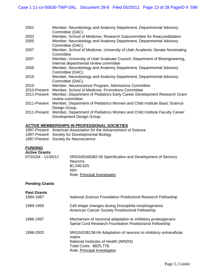| 2001         | Member, Neurobiology and Anatomy Department, Departmental Advisory<br>Committee (DAC).                               |
|--------------|----------------------------------------------------------------------------------------------------------------------|
| 2003         | Member, School of Medicine, Research Subcommittee for Reaccredidation.                                               |
| 2005         | Member, Neurobiology and Anatomy Department, Departmental Advisory<br>Committee (DAC).                               |
| 2007         | Member, School of Medicine, University of Utah Academic Senate Nominating<br>Committee                               |
| 2007         | Member, University of Utah Graduate Council, Department of Bioengineering,<br>Internal departmental review committee |
| 2009         | Member, Neurobiology and Anatomy Department, Departmental Advisory<br>Committee (DAC).                               |
| 2010         | Member, Neurobiology and Anatomy Department, Departmental Advisory<br>Committee (DAC).                               |
| 2010         | Member, Neuroscience Program, Admissions Committee                                                                   |
| 2010-Present | Member, School of Medicine, Promotions Committee                                                                     |
| 2011-Present | Member, Department of Pediatrics Early Career Development Research Grant<br>review committee.                        |
| 2011-Present | Member, Department of Pediatrics Women and Child Institute Basic Science<br>Design Group.                            |
| 2011-Present | Member, Department of Pediatrics Women and Child Institute Faculty Career<br>Development Design Group.               |

#### **ACTIVE MEMBERSHIPS IN PROFESSIONAL SOCIETIES**

|  |  |  |  | 1997-Present American Association for the Advancement of Science |
|--|--|--|--|------------------------------------------------------------------|
|  |  |  |  |                                                                  |

- 1997-Present Society for Developmental Biology
- 1997-Present Society for Neuroscience

## **FUNDING**

| <b>Active Grants</b> |                                                          |
|----------------------|----------------------------------------------------------|
| 07/01/04 - 11/30/11  | 5R01NS048382-05 Specification and Development of Sensory |
|                      | <b>Neurons</b>                                           |
|                      | \$1,040,625                                              |
|                      | <b>NIH</b>                                               |
|                      | Role: Principal Investigator                             |

## **Pending Grants**

| <b>Past Grants</b><br>1984-1987 | National Science Foundation Predoctoral Research Fellowship                                                                                                                    |
|---------------------------------|--------------------------------------------------------------------------------------------------------------------------------------------------------------------------------|
| 1989-1993                       | Cell shape changes during Drosophila morphogenesis<br>American Cancer Society Postdoctoral Fellowship                                                                          |
| 1996-1997                       | Mechanism of neuronal adaptation to inhibitory proteoglycans<br>Spinal Cord Research Foundation Postdoctoral Fellowship                                                        |
| 1998-2003                       | 5R01NS38138-04 Adaptation of neurons to inhibitory extracellular<br>matrix<br>National Institutes of Health (NINDS)<br>Total Costs: \$825,778.<br>Role: Principal Investigator |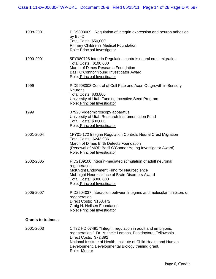| 1998-2001                 | PID9808009 Regulation of integrin expression and neuron adhesion<br>by Bcl-2<br>Total Costs: \$50,000.<br><b>Primary Children's Medical Foundation</b><br>Role: Principal Investigator                                                                                         |
|---------------------------|--------------------------------------------------------------------------------------------------------------------------------------------------------------------------------------------------------------------------------------------------------------------------------|
| 1999-2001                 | 5FY980726 Integrin Regulation controls neural crest migration<br>Total Costs: \$100,000<br>March of Dimes Research Foundation<br>Basil O'Connor Young Investigator Award<br>Role: Principal Investigator                                                                       |
| 1999                      | PID9908008 Control of Cell Fate and Axon Outgrowth in Sensory<br><b>Neurons</b><br><b>Total Costs: \$33,800</b><br>University of Utah Funding Incentive Seed Program<br>Role: Principal Investigator                                                                           |
| 1999                      | 07928 Videomicroscopy apparatus<br>University of Utah Research Instrumentation Fund<br><b>Total Costs: \$80,000</b><br>Role: Principal Investigator                                                                                                                            |
| 2001-2004                 | 1FY01-172 Integrin Regulation Controls Neural Crest Migration<br>Total Costs: \$243,936<br>March of Dimes Birth Defects Foundation<br>(Renewal of MOD Basil O'Connor Young Investigator Award)<br>Role: Principal Investigator                                                 |
| 2002-2005                 | PID2109100 Integrin-mediated stimulation of adult neuronal<br>regeneration<br>McKnight Endowment Fund for Neuroscience<br>McKnight Neuroscience of Brain Disorders Award<br>Total Costs: \$300,000<br>Role: Principal Investigator                                             |
| 2005-2007                 | PID2504037 Interaction between integrins and molecular inhibitors of<br>regeneration<br>Direct Costs: \$153,472<br>Craig H. Neilsen Foundation<br>Role: Principal Investigator                                                                                                 |
| <b>Grants to trainees</b> |                                                                                                                                                                                                                                                                                |
| 2001-2003                 | 1 T32 HD 07491 "Integrin regulation in adult and embryonic<br>regeneration." Dr. Michele Lemons, Postdoctoral Fellowship.<br>Direct Costs: \$72,392<br>National Institute of Health, Institute of Child Health and Human<br>Development, Developmental Biology training grant. |

**Role: Mentor** Role: 2019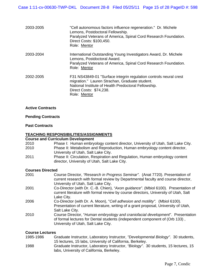| 2003-2005 | "Cell autonomous factors influence regeneration." Dr. Michele<br>Lemons, Postdoctoral Fellowship.<br>Paralyzed Veterans of America, Spinal Cord Research Foundation.<br>Direct Costs: \$100,450.<br>Role: Mentor       |
|-----------|------------------------------------------------------------------------------------------------------------------------------------------------------------------------------------------------------------------------|
| 2003-2004 | International Outstanding Young Investigators Award, Dr. Michele<br>Lemons, Postdoctoral Award.<br>Paralyzed Veterans of America, Spinal Cord Research Foundation.<br>Role: Mentor                                     |
| 2002-2005 | F31 NS43849-01 "Surface integrin regulation controls neural crest<br>migration." Lauren Strachan, Graduate student.<br>National Institute of Health Predoctoral Fellowship.<br>Direct Costs: \$74,238.<br>Role: Mentor |

#### **Active Contracts**

## **Pending Contracts**

#### **Past Contracts**

#### **TEACHING RESPONSIBILITIES/ASSIGNMENTS**

#### **Course and Curriculum Development**

|      | <b>OUGLOG AND OUTLOGRAPH DEVEROPMENT</b>                                                                                     |
|------|------------------------------------------------------------------------------------------------------------------------------|
| 2010 | Phase I: Human embryology content director, University of Utah, Salt Lake City.                                              |
| 2010 | Phase II: Metabolism and Reproduction, Human embryology content director,                                                    |
|      | University of Utah, Salt Lake City.                                                                                          |
| 2011 | Phase II: Circulation, Respiration and Regulation, Human embryology content<br>director, University of Utah, Salt Lake City. |
|      |                                                                                                                              |

#### **Courses Directed**

| 2001 | Course Director, "Research in Progress Seminar". (Anat 7720). Presentation of<br>current research with formal review by Departmental faculty and course director,<br>University of Utah, Salt Lake City. |
|------|----------------------------------------------------------------------------------------------------------------------------------------------------------------------------------------------------------|
| 2001 | Co-Director (with Dr. C.-B. Chien), "Axon guidance". (Mbiol 6100). Presentation of<br>current literature with formal review by course directors, University of Utah, Salt<br>Lake City.                  |
| 2006 | Co-Director (with Dr. A. Moon), "Cell adhesion and motility". (Mbiol 6100).<br>Presentation of current literature, writing of a grant proposal, University of Utah,<br>Salt Lake City.                   |
| 2010 | Course Director, "Human embryology and craniofacial development". Presentation<br>of formal lectures for Dental students (independent component of (Orb 133),<br>University of Utah, Salt Lake City.     |

#### **Course Lectures**

| 1985-1986 | Graduate Instructor, Laboratory Instructor, "Developmental Biology". 30 students,   |
|-----------|-------------------------------------------------------------------------------------|
|           | 15 lectures, 15 labs, University of California, Berkeley.                           |
| 1988      | Graduate Instructor, Laboratory Instructor, "Biology". 30 students, 15 lectures, 15 |
|           | labs, University of California, Berkeley.                                           |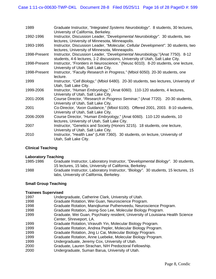| 1989         | Graduate Instructor, "Integrated Systems Neurobiology". 8 students, 30 lectures,<br>University of California, Berkeley.                                        |
|--------------|----------------------------------------------------------------------------------------------------------------------------------------------------------------|
| 1992-1996    | Instructor, Discussion Leader, "Developmental Neurobiology". 30 students, two<br>lectures, University of Minnesota, Minneapolis.                               |
| 1993-1995    | Instructor, Discussion Leader, "Molecular, Cellular Development". 30 students, two<br>lectures, University of Minnesota, Minneapolis.                          |
| 1998-Present | Instructor, Discussion Leader, "Developmental Neurobiology," (Anat 7750). 8-12<br>students, 4-6 lectures, 1-2 discussions, University of Utah, Salt Lake City. |
| 1998-Present | Instructor, "Frontiers in Neuroscience," (Neusc 6010). 8-20 students, one lecture,<br>University of Utah, Salt Lake City.                                      |
| 1998-Present | Instructor, "Faculty Research in Progress," (Mbiol 6050). 20-30 students, one<br>lecture.                                                                      |
| 1999         | Instructor, "Cell Biology," (Mbiol 6480). 20-30 students, two lectures, University of<br>Utah, Salt Lake City.                                                 |
| 1999-2006    | Instructor, "Human Embryology," (Anat 6060). 110-120 students, 4 lectures,<br>University of Utah, Salt Lake City.                                              |
| 2001-2006    | Course Director, "Research in Progress Seminar," (Anat 7720). 20-30 students,<br>University of Utah, Salt Lake City.                                           |
| 2001         | Co-Director, "Axon Guidance," (Mbiol 6100). Offered 2001, 2003. 8-10 students,<br>University of Utah, Salt Lake City.                                          |
| 2006-2009    | Course Director, "Human Embryology," (Anat 6060). 110-120 students, 10<br>lectures, University of Utah, Salt Lake City.                                        |
| 2007         | Instructor, "Genetics and Society (Honors 3215). 18 students, one lecture,<br>University of Utah, Salt Lake City.                                              |
| 2010         | Instructor, "Health Law" (LAW 7360). 30 students, on lecture, University of<br>Utah, Salt Lake City.                                                           |

## **Clinical Teaching**

## **Laboratory Teaching**

| 1985-1986 | Graduate Instructor, Laboratory Instructor, "Developmental Biology". 30 students,   |
|-----------|-------------------------------------------------------------------------------------|
|           | 15 lectures, 15 labs, University of California, Berkeley.                           |
| 1988      | Graduate Instructor, Laboratory Instructor, "Biology". 30 students, 15 lectures, 15 |
|           | labs, University of California, Berkeley.                                           |

## **Small Group Teaching**

## **Trainees Supervised**

| Graduate, Wei Guan, Psychiatry resident, University of Louisiana Health Science |
|---------------------------------------------------------------------------------|
|                                                                                 |
|                                                                                 |
|                                                                                 |
|                                                                                 |
|                                                                                 |
|                                                                                 |
|                                                                                 |
|                                                                                 |
|                                                                                 |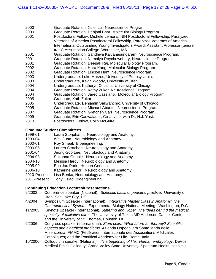|  | 2000 | Graduate Rotation, Xulei Lui, Neuroscience Program. |
|--|------|-----------------------------------------------------|
|--|------|-----------------------------------------------------|

- 2000 Graduate Rotation, Debjani Bhar, Molecular Biology Program.
- 2001 Postdoctoral Fellow, Michele Lemons, NIH Postdoctoral Fellowship, Paralyzed Veterans of America Postdoctoral Fellowship, Paralyzed Veterans of America International Outstanding Young Investigators Award, Assistant Professor (tenure track) Assumption College, Worcester, MA.
- 2001 Graduate Rotation, Sandhiya Kalyanasundaram, Neuroscience Program.
- 2001 Graduate Rotation, Nirmalya Roychowdhury, Neuroscience Program.
- 2001 Graduate Rotation, Deepak Raj, Molecular Biology Program.
- 2002 Graduate Rotation, Hara Kang, Molecular Biology Program.
- 2002 Graduate Rotation, Linclon Hunt, Neuroscience Program.
- 2003 Undergraduate, Luke Marzec, University of Pennsylvania.
- 2003 Undergraduate, Kevin Woody, University of Utah.
- 2004 Undergraduate, Katheryn Cousins, University of Chicago.
- 2004 Graduate Rotation, Kathy Zukor. Neuroscience Program.
- 2004 Graduate Rotation, Jared Cassiano. Molecular Biology Program.
- 2005 Graduate, Kath Zukor.
- 2005 Undergraduate, Benjamin Saliwanchik, University of Chicago.
- 2005 Graduate Rotation, Michael Abanto. Neuroscience Program.
- 2007 Graduate Rotation, Gretchen Carr, Neuroscience Program.
- 2009 Graduate, Erin Cadwalader, Co-advisor with Dr. H.J. Yost.
- 2010 Postdoctoral Fellow, Colin McGuire.

#### **Graduate Student Committees**

- 1999-01 Laura Storjohann. Neurobiology and Anatomy.
- 1999-04 Wei Guan. Neurobiology and Anatomy.
- 2000-01 Roy Smeal. Bioengineering.
- 2000-05 Lauren Strachan. Neurobiology and Anatomy.
- 2001-04 Jeong-Soo Lee. Neurobiology and Anatomy.
- 2004-08 Suzanna Gribble. Neurobiology and Anatomy.
- 2004-10 Melissa Hardy. Neurobiology and Anatomy.
- 2005-09 Eon Joo Park. Human Genetics.
- 2006-10 Katherine Zukor. Neurobiology and Anatomy.
- 2010-Present Lisa Benko, Neurobiology and Anatomy.
- 2011-Present Tony Hsiao, Bioengineering.

#### **Continuing Education Lectures/Presentations**

- 9/2002 Conference speaker (National). *Scientific basis of pediatric practice*. University of Utah, Salt Lake City, UT.
- 4/2004 Symposium Speaker (International). *Integrative Master Class in Anatomy: The Gastrointestinal System*. Experimental Biology National Meeting. Washington, D.C.
- 11/2005 Keynote Speaker (International). *Suffering and Hope: The ideas behind the medical specialty of palliative care*. The University of Texas MD Anderson Cancer Center and the University of St. Thomas, Houston TX.
- 9/2006 Congress speaker (International). *Stem cells: What future for therapy? Scientific aspects and bioethical problems*. Azienda Ospedaliera Santa Maria della Misericordia, FIAMC (Fédération Internationale des Associations Médicales Catholiques) and the Pontifical Academy for Life. Rome, Italy.
- 10/2006 Colloquium speaker (National). *The beginning of life: Human embryology*. DeVos Medical Ethics Colloquy. Grand Valley State University, Spectrum Health Hospitals,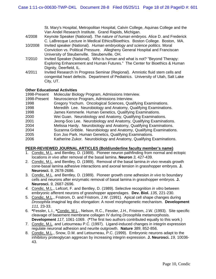St. Mary's Hospital, Metropolitan Hospital, Calvin College, Aquinas College and the Van Andel Research Institute. Grand Rapids, Michigan.

- 4/2008 Keynote Speaker (National). *The nature of human embryos.* Alice D. and Frederick C. LaBrecque Lecture in Medical Ethics/Bioethics. Boston College. Boston, MA.
- 10/2008 Invited speaker (National). *Human embryology and science politics*. Moral Conviction vs. Political Pressure. Allegheny General Hospital and Franciscan University of Steubenville. Steubenville, OH.
- 7/2010 Invited Speaker (National). Who is human and what is not? "Beyond Therapy: Exploring Enhancement and Human Futures." The Center for Bioethics & Human Dignity, Deerfield, IL.
- 4/2011 Invited Research In Progress Seminar (Regional). Amniotic fluid stem cells and congenital heart defects. Department of Pediatrics. University of Utah, Salt Lake City, UT.

## **Other Educational Activities**

1998-Present Molecular Biology Program, Admissions Interview.

- 1998-Present Neuroscience Program, Admissions Interview.
- 1998 Gregory Yochum. Oncological Sciences, Qualifying Examinations.
- 1998 Meredith Lee. Neurobiology and Anatomy, Qualifying Examinations.
- 1998 James Kemmerle. Human Genetics, Qualifying Examinations.
- 2000 Wei Guan. Neurobiology and Anatomy, Qualifying Examinations.
- 2001 Jeong-Soo Lee. Neurobiology and Anatomy, Qualifying Examinations.
- 2004 Melissa Hardy. Neurobiology and Anatomy, Qualifying Examinations.
- 2004 Suzanna Gribble. Neurobiology and Anatomy, Qualifying Examinations.
- 2005 Eon Joo Park. Human Genetics, Qualifying Examinations.
- 2006 Katherine Zukor. Neurobiology and Anatomy, Qualifying Examinations.

#### **PEER-REVIEWED JOURNAL ARTICLES (Bold/underline faculty member's name)**

- 1. Condic, M.L. and Bentley, D. (1989). Pioneer neuron pathfinding from normal and ectopic locations *in vivo* after removal of the basal lamina. **Neuron** *3,* 427-439.
- 2. Condic, M.L. and Bentley, D. (1989). Removal of the basal lamina *in vivo* reveals growth cone-basal lamina adhesive interactions and axonal tension in grasshopper embryos. **J. Neurosci.** *9,* 2678-2686.
- 3. Condic, M.L. and Bentley, D. (1989). Pioneer growth cone adhesion *in vivo* to boundary cells and neurons after enzymatic removal of basal lamina in grasshopper embryos. **J. Neurosci.** *9,* 2687-2696.
- *4.* Condic, M.L., Lefcort, F. and Bentley, D. (1989). Selective recognition *in vitro* between embryonic afferent neurons of grasshopper appendages. **Dev. Biol.** *135,* 221-230.
- 5. Condic, M.L., Fristrom, D. and Fristrom, J.W. (1991). Apical cell shape changes during *Drosophila* imaginal leg disc elongation: A novel morphogenetic mechanism. **Development**  *111,* 23-33.
- 6. **\***Fessler, L.I., **\***Condic, M.L., Nelson, R.C., Fessler, J.H., Fristrom, J.W. (1993). Site specific cleavage of basement membrane collagen IV during *Drosophila* metamorphosis. **Development** *117,* 1061-1069. (**\***The first two authors contributed equally to this work.)
- 7. Condic, M.L. and Letourneau P.C. (1997). Ligand-induced changes in integrin expression regulate neuronal adhesion and neurite outgrowth. **Nature** *389*, 852-856.
- 8. Condic, M.L., Snow, D.M. and Letourneau, P.C. (1999). Embryonic neurons adapt to the inhibitory proteoglycan aggrecan by increasing integrin expression. **J. Neurosci.** *19,* 10036- 43.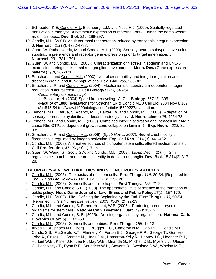- 9. Schroeder, K.E. Condic, M.L. Eisenberg, L.M. and Yost, H.J. (1999). Spatially regulated translation in embryos: Asymmetric expression of maternal Wnt-11 along the dorsal-ventral axis in *Xenopus*. **Dev. Biol.** *214*, 288-297.
- 10. Condic, M.L. (2001). Adult neuronal regeneration induced by transgenic integrin expression. **J. Neurosci.** *21(13),* 4782-4788.
- 11. Guan, W. Puthenveedu, M. and Condic, M.L. (2003). Sensory neuron subtypes have unique substratum preference and receptor gene expression prior to target innervation. **J. Neurosci.** *23,* 1781-1791.
- 12. Guan, W. and Condic, M.L. (2003). Characterization of Netrin-1, Neogenin and UNC-5 expression during chick dorsal root ganglion development. **Mech. Dev.** (Gene expression patterns) *3(3)*, 367-371.
- 13. Strachan, L. and Condic, M.L. (2003). Neural crest motility and integrin regulation are distinct in cranial and trunk populations. **Dev. Biol.** *259,* 288-302.
- 14. Strachan, L. R. and Condic, M.L. (2004). Mechanisms of substratum-dependent integrin regulation in neural crest. **J. Cell Biology***167(3)*:545-54.  *Commentary on manuscript: -*LeBrasseur, N. (2004) Speed from recycling. **J. Cell Biology.** *167 (3):* 395.

-**Faculty of 1000:** evaluations for Strachan LR & Condic ML J Cell Biol 2004 Nov 8 167 (3) :545-54 ttp://www.f1000biology.com/article/15520227/evaluation.

- 15. Lemons, M.L., Barua, S. Abanto, M.L., Halfter, W. and Condic, M.L. (2005). Adaptation of sensory neurons to hyalectin and decorin proteoglycans. **J. Neuroscience** *25*, 4964-73.
- 16. Lemons, M.L. and Condic, M.L. (2006). Combined integrin activation and intracellular cAMP cause Rho GTPase dependent growth cone collapse on laminin-1. **Exp. Neurol.** *202,* 324- 335.
- 17. Strachan, L. R. and Condic, M.L. (2008). (*Epub Nov 1, 2007*). Neural crest motility on fibronectin is regulated by integrin activation. **Exp. Cell Res.** 314 (3); 441-452.
- 18. Condic, M.L. (2008). Alternative sources of pluripotent stem cells; altered nuclear transfer. **Cell Proliferation,** *41 (Suppl. 1*), 7-19.
- 19. Guan, W. Wang, G., Scott, S.A. and Condic, M.L. (2008). (*Epub Dec 4, 2007*). Shh regulates cell number and neuronal identity in dorsal root ganglia. **Dev. Biol.** 15;314(2):317- 28.

## **EDITORIALLY-REVIEWED BIOETHICS AND SCIENCE POLICY ARTICLES**

- 1. Condic, M.L. (2002). The basics about stem cells. **First Things.** *119,* 30-34. [Reprinted in: *The Human Life Review* (2002) XXVIII (1-2): 119-126].
- 2. Condic, M.L. (2002). Stem cells and false hopes. **First Things**. *125*, 21-22.
- 3. Condic, M.L. and Condic, S.B. (2003). The appropriate limits of science in the formation of public policy. **Notre Dame Journal of Law, Ethics and Public Policy** *25(1)*, 157-179.
- 4. Condic, M.L. (2003). Life: Defining the Beginning by the End. **First Things**. *133,* 50-54. [Reprinted in: *The Human Life Review* (2003) XXIX (2): 22-29].
- 5. Condic, M.L. and Condic, S. B. and Hurlbut, W.B. (2005). Producing non-embryonic organisms for stem cells. **National Cath. Bioethics Quart.** *5(1)*: 13-15
- 6. Condic, M.L. and Condic, S. B. (2005). Defining organisms by organization. **National Cath. Bioethics Quart.** *5(2)*: 331-53.
- 7. Condic, M.L. (2005). Stem cells and babies. **First Things**. *155*: 12-13.
- 8. Arkes H., Austriaco N.P., Berg T., Brugger E.C., Cameron N.M., Capizzi J., Condic M.L., Condic S.B., FitzGerald K.T., Flannery K., Furton E.J., George R.P., George T., Gomez-Lobo A., Grisez G., Grompe M., Haas J.M., Hamerton-Kelly R., Harvey J.C., Hoehner P.J., Hurlbut W.B., Kilner J.F., Lee P., May W.E., Miranda G., Mitchell C.B., Myers J.J., Oleson C., Pacholczyk T., Ryan P.F., Saunders W.L., Stevens D., Swetland S.W., Whelan M.E.,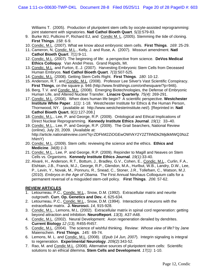Williams T. (2005). Production of pluripotent stem cells by oocyte-assisted reprogramming: joint statement with signatories. **Natl Cathol Bioeth Quart**. *5(3)*:579-83.

- 9. Burke WJ, Pullicino P, Richard EJ, and Condic M. L. (2005). Stemming the tide of cloning. **First Things**. *158*: 6-9.
- 10. Condic, M.L. (2007). What we know about embryonic stem cells. **First Things**. *169*: 25-29.
- 11. Cameron, N, Condic, M.L., Kelly, J. and Ruse, A. (2007). Missouri amendment. **Natl Cathol Bioeth Quart**. *7(1)*:9-11.
- 12. Condic, M.L. (2007). The beginning of life: a perspective from science. **DeVos Medical Ethics Colloquy**. Van Andel Press. Grand Rapids, MI.
- 13. Condic, M.L. and Furton, E..J. (2007). Harvesting Embryonic Stem Cells from Deceased Human Embryos. **Natl Cathol Bioeth Quart**. *7(3):*507-525*.*
- 14. Condic, M.L. (2008). Getting Stem Cells Right. **First Things**. *180*: 10-12.
- 15. Anderson, R.T. and Condic, M.L. (2008). Professor Lee Silver's Vast Scientific Conspiracy. **First Things**, on the square p. 946 (http://www.firstthings.com/onthesquare/?p=946).
- 16. Berg, T.V. and Condic, M.L. (2008). Emerging Biotechnologies, the Defense of Embryonic Human Life, and Altered Nuclear Transfer. **Linacre Quarterly**. *75(4)*: 269*-*291.
- 17. Condic, M.L. (2008). When does human life begin? A scientific perspective. **Westchester Institute White Paper**. *1(1)*: 1-18. Westchester Institute for Ethics & the Human Person, Thornwood, NY. (available at: http://www.westchesterinstitute.net/). [Reprinted in: **Natl Cathol Bioeth Quart.** *9(1)*:127-208.]
- 18. Condic, M.L., Lee, P. and George, R.P. (2009). Ontological and Ethical Implications of Direct Nuclear Reprogramming. **Kennedy Institute Ethics Journal**. *19(1)*: 33–40.
- 19. Condic, M.L., Lee, P. and George, R.P. (2009). The Grail Searchers, National Review (online), July 20, 2009. (Available at: http://article.nationalreview.com/?q=ZDFkM2ZiOGEwOWVkY2Y2ZTlhNDk2MjdkMWQ3NzZ hNmY)
- 20. Condic, M.L. (2009). Stem cells: reviewing the science and the ethics. **Ethics and Medicine**. *34(8):1-3.*
- 21. Condic, M.L., Lee, P. and George, R.P. (2009). Rejoinder to Magill and Neaves on Stem Cells vs. Organisms. **Kennedy Institute Ethics Journal**. *19(1):*33-40.
- 22. Alvaré, H., Anderson, R.T., Bottum, J., Bradley, G.V., Cohen, E., Condic, M.L., Curlin, F.A., Elshtain, J.B., Franck, M.J., George, R.P., Glendon, M.A., Hurlbut, W.B., Landry, D.W., Lee, P., Levin, Y., Novak, M., Ponnuru, R., Snead, C., Stoner, J.R., Tollefsen, C., Watson, M.J. (2010). *Embryos in the Age of Obama.* The First Annual Neuhaus Colloquium calls for a permanent reversal of a misguided stem-cell policy. **First Things**. *206*: 57-62.

## **REVIEW ARTICLES**

- 1. Letourneau, P.C., Condic, M.L., Snow, D.M. (1992). Extracellular matrix and neurite outgrowth. **Curr. Op. Genetics and Dev.** *4,* 625-634.
- 2. Letourneau, P.C., Condic, M.L., Snow, D.M. (1994). Interactions of neurons with the extracellular matrix. **J. Neurosci.** *14,* 915-928.
- 3. Condic, M.L., Lemons, M.L. (2002). Extracellular matrix in spinal cord regeneration: getting beyond attraction and inhibition. **NeuroReport**. *13(3),* A37-A48.
- 4. Condic, M.L. (2002). Neural Development: Axon regeneration derailed by dendrites. **Current Biology** *12 (13),* R455-R457.
- 5. Condic, M.L. (2004). The science of wishful thinking. Review: *Whose view of life?* by Jane Maienschein. **First Things**. *145:* 69-74.
- 6. Lemons, M. L. and Condic, M.L. (2008). (*Epub 14 Jun, 2007*). Integrin signaling is integral to regeneration. **Experimental Neurology**. *209(2)*:343-52.
- 7. Rao, M. and Condic M.L. (2008). Alternative sources of pluripotent stem cells: Scientific solutions to an ethical dilemma. **Stem Cells and Development**. *17(1)*: 1-10.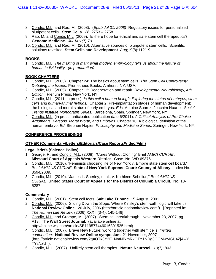- 8. Condic, M.L. and Rao, M. (2008). (*Epub Jul 31, 2008)* Regulatory issues for personalized pluripotent cells. **Stem Cells.** *26:* 2753 – 2758.
- 9. Rao, M. and Condic M.L. (2009). Is there hope for ethical and safe stem cell therapeutics? **Genome Medicine.** *Jul 14;1(7):70.*
- 10. Condic, M.L. and Rao, M. (2010). Alternative sources of pluripotent stem cells: Scientific solutions revisited. **Stem Cells and Development**. *Aug*;19(8):1121-9.

## **BOOKS**

1. Condic, M.L. *The making of man; what modern embryology tells us about the nature of human individuality. (in preparation)*

## **BOOK CHAPTERS**

- 1. Condic, M.L. (2003). Chapter 24: The basics about stem cells*. The Stem Cell Controversy: Debating the Issues*. Prometheus Books, Amherst, NY, USA.
- 2. Condic, M.L. (2005). Chapter 12: Regeneration and repair. *Developmental Neurobiology, 4th Edition*. Plenum Press, New York, NY.
- 3. Condic, M.L. (2011, in press). *Is this cell a human being?: Exploring the status of embryos, stem cells and human-animal hybrids.* Chapter 2: Pre-implantation stages of human development: the biological and moral status of early embryos. *Eds.* Antoine Suarez, Joachim Huarte *Social Trends Institute Monograph Series.* Barcelona, Spain. Springer, New York, NY.
- 4. Condic, M.L. (in press, anticipated publication date 6/2011). *A Critical Analysis of Pro-Choice Arguments: Persons, Moral Worth, and Embryos.* Chapter 10: A biological definition of the human embryo. *Ed.* Stephen Napier. *Philosophy and Medicine Series*, Springer, New York, NY.

#### **CONFERENCE PROCEEDINGS**

#### **OTHER (Commentary/Letters/Editorials/Case Reports/Video/Film)**

#### **Legal Briefs (Science Policy)**

- 1. George, R. and Condic, M.L. (2008). "Cures Without Cloning" Brief *AMICI CURIAE*. **Missouri Court of Appeals Western District**. Case. No. WD 69376.
- 2. Condic, M.L. (2010). "Feminists choosing life of New York v. Empire state stem cell board," Brief *AMICUS CURIAE.* **State of New York Supreme Court: County of Albany**. Index No. 8594/2009.
- 3. Condic, M.L. (2010). "James L. Sherley, et al., v. Kathleen Sebelius," Brief *AMICUS CURIAE*. **United States Court of Appeals for the District of Columbia Circuit.** No. 10- 5287.

#### **Commentary**

- 1. Condic, M.L. (2001). Stem cell facts. **Salt Lake Tribune**. 15 August, 2001.
- 2. Condic, M.L. (2006). Sliding Down the Slope: Where Kinsley's stem-cell illogic will take us. **National Review Online.** 20 July, 2006 (http://article.nationalreview.com/). [Reprinted.in: *The Human Life Review* (2006) XXXII (3-4): 145-146]
- 3. Condic, M.L. and Grompe, M. (2007). Stem-cell breakthrough. November 23, 2007, pg. A13. **The Wall Street Journal.** (available online at: http://online.wsj.com/article/SB119577446016301525.html)
- 4. Condic, M.L. (2007). Brave New Future; working together with stem cells. *Invited contribution*: **National Review Online symposium.** 21 November, 2007 (http://article.nationalreview.com/?q=OTk3Y2E1NmNlNmRkOTY1NDg3OGMwMGU4ZjAwY TYzNzU=).
- 5. Condic, M. L. (2007). Unlikely stem cell therapies. **Nature Neurosci.** *10(7)*: 803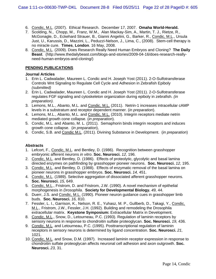- 6. Condic, M.L. (2007). Ethical Research. December 17, 2007. **Omaha World-Herald.**
- 7. Scolding, N., Chopp, M., Franz, W.M., Alan Mackay-Sim, A., Martin, T. J., Rietze, R., McGonagle, D., Eckehard Strauer, B., Gianni Angelini, G., Barker, R., Condic, M.L., Ursula Just, U., Karussis, D., Mazzini, L., Peduzzi-Nelson, J., Lima, C., (2008). Stem-cell therapy is no miracle cure. **Times**, **London**. 16 May, 2008.
- 8. Condic, M.L. (2009). Does Research Really Need Human Embryos and Cloning? **The Daily Beast**. (http://www.thedailybeast.com/blogs-and-stories/2009-04-16/does-research-reallyneed-human-embryos-and-cloning/)

## **PENDING PUBLICATIONS**

#### **Journal Articles**

- 1. Erin L. Cadwalader, Maureen L. Condic and H. Joseph Yost (2011). 2-O-Sulfotransferase Controls Wnt Signaling to Regulate Cell Cycle and Adhesion in Zebrafish Epiboly *(submitted)*
- 2. Erin L. Cadwalader, Maureen L. Condic and H. Joseph Yost (2011). 2-O-Sulfotransferase regulates FGF signaling and cytoskeleton organization during epiboly in zebrafish. *(in preparation).*
- 3. Lemons, M.L., Abanto, M.L. and Condic, M.L. (2011). Netrin-1 increases intracellular cAMP levels in a substratum and receptor dependent manner. (*in preparation*).
- 4. Lemons, M.L., Abanto, M.L. and Condic, M.L. (2010). Integrin receptors mediate netrin mediated growth cone collapse. (*in preparation*).
- 5. Condic, M.L. and Abanto, M. L. (2011). Semaphorin binds integrin receptors and induces growth cone collapse. (*in preparation*),
- 6. Condic, S.B. and Condic M.L. (2011). Divining Substance in Development. (*in preparation*)

## **Abstracts**

- 1. Lefcort, F., Condic, M.L. and Bentley, D. (1986). Recognition between grasshopper embryonic afferent neurons *in vitro*. **Soc. Neurosci.** *12,* 196.
- 2. Condic, M.L. and Bentley, D. (1986). Effects of proteolytic, glycolytic and basal lamina directed enzymes on pathfinding by grasshopper pioneer neurons. **Soc. Neurosci.** *12,* 195.
- 3. Condic, M.L. and Bentley, D. (1988). Effects of enzymatic removal of the basal lamina on pioneer neurons in grasshopper embryos. **Soc. Neurosci.** *14,* 451.
- 4. Condic, M.L. (1989). Selective aggregation of dissociated afferent grasshopper neurons. **Soc. Neurosci.** *15,* 649.
- 5. Condic, M.L., Fristrom, D. and Fristrom, J.W. (1990). A novel mechanism of epithelial morphogenesis in *Drosophila*. **Society for Developmental Biology.** *49,* 44.
- 6. Duerr, J.S. and Condic, M.L. (1990). Pioneer neuron guidance cues in grasshopper limb buds. **Soc. Neurosci.** *16,* 810.
- 7. Fessler, L. I., Garrison, K., Nelson, R. E., Yuhasz, M. P., Gullberb, D., Takagi, Y., Condic, M.L., Fristrom, J.W., Fessler, J.H. (1992). Building and remodeling the Drosophila extracellular matrix. **Keystone Symposium:** Extracellular Matrix in Development.
- 8. Condic, M.L., Snow, D., Letourneau, P.C. (1993). Regulation of laminin receptors by sensory neurons in response to chondroitin sulfate proteoglycan. **Soc. Neurosci.** *19,* 436.
- 9. Condic, M.L. and Letourneau, P.C. (1995). Posttranscriptional regulation of laminin receptors in sensory neurons is determined by ligand concentration. **Soc. Neurosci.** *21,* 1021.
- 10. Condic, M.L. and Snow, D.M. (1997). Increased laminin receptor expression in response to chondroitin sulfate proteoglycan affects neuronal cell adhesion and axon outgrowth. **Soc. Neurosci.** *23,* 31.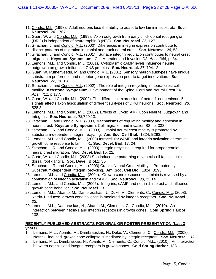- 11. Condic, M.L. (1998). Adult neurons lose the ability to adapt to low laminin substrata. **Soc. Neurosci.** *24,* 1767.
- 12. Guan, W. and Condic, M.L. (1999). Axon outgrowth from early chick dorsal root ganglia (DRG) is independent of neurotrophin-3 (NT3). **Soc. Neurosci.** *25,* 1271.
- 13. Strachan, L. and Condic, M.L. (2000). Differences in integrin expression contribute to distinct patterns of migration in cranial and trunk neural crest. **Soc. Neurosci.** *26,* 58*.*
- 14. Strachan, L. and Condic, M.L. (2001). Surface integrin regulation contributes to neural crest migration. **Keystone Symposium**: Cell Migration and Invasion D3. *Abst. 346*, p. 84.
- 15. Lemons, M.L. and Condic, M.L. (2001). Cytoplasmic cAMP levels influence neurite outgrowth on growth-influential CNS proteins. **Soc. Neurosci.** *27*, 794.12.
- 16. Guan, W. Puthenveedu, M. and Condic, M.L. (2001). Sensory neuron subtypes have unique substratum preference and receptor gene expression prior to target innervation. **Soc. Neurosci.** *27*,136.18.
- 17. Strachan, L. and Condic, M.L. (2002). The role of integrin recycling in neural crest cell motility. **Keystone Symposium**: Development of the Spinal Cord and Neural Crest X4*. Abst. 411,* p.177.
- 18. Guan, W. and Condic, M.L. (2002). The differential expression of netrin 1-neogenin/unc5 signals affects axon fasciculation of different subtypes of DRG neurons. **Soc. Neurosci.** *28,* 528.3.
- 19. Lemons, M.L. and Condic, M.L. (2002). Effects of Cyclic AMP upon Neurite Outgrowth and Integrins. **Soc. Neurosci.** *28,*729.13*.*
- 20. Strachan, L. and Condic, M.L. (2003) Mechanisms of regulating motility and adhesion in neural crest. **Keystone Symposium**: Cell migration and invasion B2. p. 338.
- 21. Strachan, L.R. and Condic, M.L. (2003). Cranial neural crest motility is promoted by substratum-dependent integrin recycling. **Am. Soc. Cell Biol.** 1824: B293.
- 22. Lemons, M.L. and Condic, M.L. (2003) Intracellular cAMP and integrin activation determine growth cone response to laminin-1. **Soc. Devel. Biol.** 17: 24.
- 23. Strachan, L.R. and Condic, M.L. (2003) Integrin recycling is required for proper cranial neural crest migration. **Soc. Devel. Biol.**15: 22*.*
- 24. Guan, W. and Condic, M.L. (2003) Shh induce the patterning of ventral cell fates in chick dorsal root ganglia. **Soc. Devel. Biol.**1: 35*.*
- 25. Strachan, L.R. and Condic, M.L. (2003) Cranial Neural Crest Motility is Promoted by Substratum-dependent Integrin Recycling. **Am. Soc. Cell Biol.** 1824: B293.
- 26. Lemons, M.L. and Condic, M.L. (2004). Growth cone response to laminin is reversed by a combination of integrin activation and cAMP. **Soc. Neurosci.** *30*, 23.14
- 27. Lemons, M.L. and Condic, M.L. (2005). Integrins, cAMP and netrin-1 interact and influence growth cone behavior. **Soc. Neurosci.** *31.*
- 28. Lemons, M.L., Abanto, M., Dambrauskas, N., Duke, V., Clements, C., Condic, M.L. (2008). Netrin-1 induced growth cone collapse is mediated by integrin receptors. **Soc. Neurosci.**  *33.*
- 29. Lemons, M.L., Dambraskas, N., Abanto,M., Clements, C., Condic, M.L., (2010). An interaction between netrin-1 and integrin receptors in growth cones. **Cold Spring Harbor.** 138.

## **RECENTLY PUBLISHED ABSTRACTS FOR ORAL OR POSTER PRESENTATION (Last 3 years)**

- 1. Lemons, M.L., Abanto, M., Dambrauskas, N., Duke, V., Clements, C., Condic, M.L. (2008). Netrin-1 induced growth cone collapse is mediated by integrin receptors. **Soc. Neurosci.** *33.*
- 2. Lemons, M.L., Dambraskas, N., Abanto,M., Clements, C., Condic, M.L., (2010). An interaction between netrin-1 and integrin receptors in growth cones. **Cold Spring Harbor.** 138.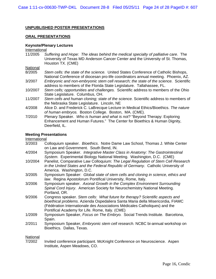## **UNPUBLISHED POSTER PRESENTATIONS**

## **ORAL PRESENTATIONS**

## **Keynote/Plenary Lectures**

#### International

11/2005 *Suffering and Hope: The ideas behind the medical specialty of palliative care*. The University of Texas MD Anderson Cancer Center and the University of St. Thomas, Houston TX. (CME)

**National** 

- 8/2005 *Stem cells: the state of the science.* United States Conference of Catholic Bishops, National Conference of diocesan pro-life coordinators annual meeting. Phoenix, AZ.
- 3/2007 *Embryonic and non-embryonic stem cell research; the state of the science.* Scientific address to members of the Florida State Legislature. Tallahassee, FL.
- 10/2007 *Stem cells; opportunities and challenges.* Scientific address to members of the Ohio State Legislature. Columbus, OH.
- 11/2007 *Stem cells and human cloning; state of the science.* Scientific address to members of the Nebraska State Legislature. Lincoln, NE
- 4/2008 Alice D. and Frederick C. LaBrecque Lecture in Medical Ethics/Bioethics. *The nature of human embryos.* Boston College. Boston, MA. (CME).
- 7/2010 Plenary Speaker. *Who is human and what is not?* "Beyond Therapy: Exploring Enhancement and Human Futures." The Center for Bioethics & Human Dignity, Deerfield, IL.

#### **Meeting Presentations**

#### International

- 3/2003 Colloquium speaker. *Bioethics*. Notre Dame Law School, Thomas J. White Center on Law and Government. South Bend, IN.
- 4/2004 Symposium Speaker. *Integrative Master Class in Anatomy: The Gastrointestinal System*. Experimental Biology National Meeting. Washington, D.C. (CME)
- 10/2004 Panelist, Comparative Law Colloquium: *The Legal Regulation of Stem Cell Research in the United States and the Federal Republic of Germany*. Catholic University of America. Washington, D.C.
- 3/2005 Symposium Speaker: *Global state of stem cells and cloning in science, ethics and law*. Regina Apostolorum Pontifical University, Rome, Italy.
- 3/2006 Symposium speaker. *Axonal Growth in the Complex Environment Surrounding Spinal Cord Injury*. American Society for Neurochemistry National Meeting. Portland, OR.
- 9/2006 Congress speaker. *Stem cells: What future for therapy? Scientific aspects and bioethical problems*. Azienda Ospedaliera Santa Maria della Misericordia, FIAMC (Fédération Internationale des Associations Médicales Catholiques) and the Pontifical Academy for Life. Rome, Italy. (CME)
- 1/2009 Symposium Speaker, *Focus on The Embryo.* Social Trends Institute. Barcelona, Spain.
- 2/2011 Symposium Speaker, *Embryonic stem cell research.* NCBC bi-annual workshop on Bioethics. Dallas, Texas.

#### National

7/2002 Invited conference participant. McKnight Conference on Neuroscience. Aspen Institute, Aspen Meadows, CO.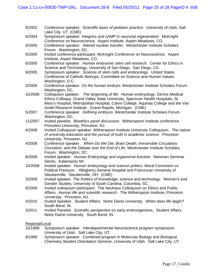| 9/2002  | Conference speaker. Scientific basis of pediatric practice. University of Utah, Salt<br>Lake City, UT. (CME)                                                                                                                                                                                                   |
|---------|----------------------------------------------------------------------------------------------------------------------------------------------------------------------------------------------------------------------------------------------------------------------------------------------------------------|
| 6/2004  | Symposium speaker. Integrins and cAMP in neuronal regeneration. McKnight<br>Conference on Neuroscience. Aspen Institute, Aspen Meadows, CO.                                                                                                                                                                    |
| 4/2005  | Conference speaker. Altered nuclear transfer. Westchester Institute Scholars<br>Forum. Washington, DC.                                                                                                                                                                                                         |
| 6/2005  | Invited conference participant. McKnight Conference on Neuroscience. Aspen<br>Institute, Aspen Meadows, CO.                                                                                                                                                                                                    |
| 6/2005  | Conference speaker. Human embryonic stem cell research. Center for Ethics in<br>Science and Technology, University of San Diego. San Diego, CA.                                                                                                                                                                |
| 9/2005  | Symposium speaker. Science of stem cells and embryology. United States<br>Conference of Catholic Bishops, Committee on Science and Human Values.<br>Washington, D.C.                                                                                                                                           |
| 3/2006  | Conference speaker. On the human embryo. Westchester Institute Scholars Forum.<br>Washington, DC.                                                                                                                                                                                                              |
| 10/2006 | Colloquium speaker. The beginning of life: Human embryology. DeVos Medical<br>Ethics Colloquy. Grand Valley State University, Spectrum Health Hospitals, St.<br>Mary's Hospital, Metropolitan Hospital, Calvin College, Aquinas College and the Van<br>Andel Research Institute. Grand Rapids, Michigan. (CME) |
| 5/2007  | Conference speaker. Defining embryos. Westchester Institute Scholars Forum.<br>Washington, DC.                                                                                                                                                                                                                 |
| 11/2007 | Invited panelist. Bioethics panel discussion. Witherspoon Institute conference.<br>Princeton University, Princeton, NJ.                                                                                                                                                                                        |
| 4/2008  | Invited Colloquium speaker. Witherspoon Institute University Colloquium. The nature<br>of university education and the pursuit of truth in academic science. Princeton<br>University, Princeton, NJ.                                                                                                           |
| 4/2008  | Conference speaker. When Do We Die: Brain Death, Irreversible Circulatory<br>Cessation, and the Debate over the End of Life. Westchester Institute Scholars<br>Forum. Washington, DC.                                                                                                                          |
| 8/2008  | Invited speaker. Human Embryology and organismal function. Newman Seminar<br>Series. Kalamazoo MI.                                                                                                                                                                                                             |
| 10/2008 | Invited speaker. Human embryology and science politics. Moral Conviction vs.<br>Political Pressure. Allegheny General Hospital and Franciscan University of<br>Steubenville. Steubenville, OH. (CME)                                                                                                           |
| 3/2009  | Invited speaker. The Politics of Knowledge; science and technology. Women's and<br>Gender Studies, University of South Carolina, Columbia, SC.                                                                                                                                                                 |
| 9/2009  | Invited colloquium participant. The Neuhaus Colloquium on Ethics and Public<br>Affairs. Human life and scientific research. The Witherspoon Institute, Princeton<br>University. Princeton, NJ.                                                                                                                 |
| 4/2010  | Invited Speaker. Student Affairs. Notre Dame University. When does life begin?<br>South Bend, IN.                                                                                                                                                                                                              |

3/2011 Invited Panelist. Scientific perspective on early embryogenesis. Student Affairs. Notre Dame University. South Bend, IN.

## Regional/Local

- 10/1998 Symposium speaker. Interdepartmental Neuroscience program symposium, University of Utah. Salt Lake City, UT.
- 8/1999 Symposium speaker. Combined program in Molecular Biology and Biological Chemistry Student Orientation Seminar, University of Utah. Salt Lake City, UT.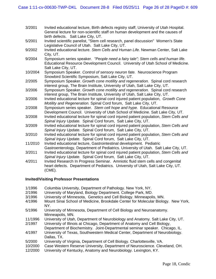- 3/2001 Invited educational lecture, Birth defects registry staff, University of Utah Hospital. General lecture for non-scientific staff on human development and the causes of birth defects. Salt Lake City, UT.
- 5/2001 Invited scientific panelist, "Stem cell research, panel discussion" Women's State Legislative Council of Utah. Salt Lake City, UT.
- 9/2002 Invited educational lecture. *Stem Cells and Human Life.* Newman Center, Salt Lake City, UT.
- 9/2004 Symposium series speaker. *"People need a fairy tale"; Stem cells and human life.* Educational Resource Development Council. University of Utah School of Medicine. Salt Lake City, UT.
- 10/2004 Symposium Speaker. *Control of sensory neuron fate.* Neuroscience Program Snowbird Scientific Symposium, Salt Lake City, UT.
- 2/2005 Symposium Speaker. *Growth cone motility and regeneration.* Spinal cord research interest group, The Brain Institute, University of Utah, Salt Lake City, UT.
- 3/2006 Symposium Speaker. *Growth cone motility and regeneration.* Spinal cord research interest group, The Brain Institute, University of Utah, Salt Lake City, UT.
- 3/2006 Invited educational lecture for spinal cord injured patient population, *Growth Cone Motility and Regeneration.* Spinal Cord forum, Salt Lake City, UT.
- 2/2008 Symposium series speaker. *Stem cell hope and hype.* Educational Resource Development Council. University of Utah School of Medicine. Salt Lake City, UT.
- 3/2008 Invited educational lecture for spinal cord injured patient population, *Stem Cells and Spinal Injury Update.* Spinal Cord forum, Salt Lake City, UT.
- 3/2009 Invited educational lecture for spinal cord injured patient population, *Stem Cells and Spinal Injury Update.* Spinal Cord forum, Salt Lake City, UT.
- 3/2010 Invited educational lecture for spinal cord injured patient population, *Stem Cells and Spinal Injury Update.* Spinal Cord forum, Salt Lake City, UT.
- 11/2010 Invited educational lecture, Gastrointestinal development. Pediatric Gastroenterology, Department of Pediatrics. University of Utah. Salt Lake City, UT.
- 3/2011 Invited educational lecture for spinal cord injured patient population, *Stem Cells and Spinal Injury Update.* Spinal Cord forum, Salt Lake City, UT.
- 4/2011 Invited Research In Progress Seminar. Amniotic fluid stem cells and congenital heart defects. Department of Pediatrics. University of Utah, Salt Lake City, UT. (CME).

## **Invited/Visiting Professor Presentations**

- 1/1996 Columbia University, Department of Pathology. New York, NY.
- 2/1996 University of Maryland, Biology Department. College Park, MD.
- 3/1996 University of Minnesota, Genetics and Cell Biology. Minneapolis, MN.
- 4/1996 Mount Sinai School of Medicine, Brookdale Center for Molecular Biology. New York, NY.
- 5/1996 University of Minnesota, Department of Cell Biology and Neuroanatomy. Minneapolis, MN.
- 11/1996 University of Utah, Department of Neurobiology and Anatomy. Salt Lake City, UT.
- 2/1997 University of Illinois at Chicago, Department of Anatomy and Cell Biology, Department of Biochemistry. Joint-Departmental seminar speaker. Chicago, IL.
- 4/1997 University of Texas, Southwestern Medical Center, Department of Neurobiology. Dallas, TX.
- 5/2000 University of Virginia, Department of Cell Biology. Charlottesville, VA.
- 10/2000 Case Western Reserve University, Department of Neuroscience. Cleveland, OH.
- 12/2000 University of Kentucky, Anatomy and Neurobiology. Lexington, KY.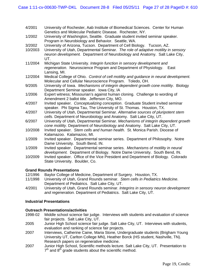- 4/2001 University of Rochester, Aab Institute of Biomedical Sciences. Center for Human Genetics and Molecular Pediatric Disease. Rochester, NY.
- 1/2002 University of Washington, Seattle. Graduate student invited seminar speaker. Program in Neurobiology and Behavior. Seattle, WA.
- 3/2002 University of Arizona, Tucson. Department of Cell Biology. Tucson, AZ.
- 10/2003 University of Utah, Departmental Seminar. *The role of adaptive motility in sensory neuron development.* Department of Neurobiology and Anatomy. Salt Lake City, UT.
- 11/2004 Michigan State University. *Integrin function in sensory development and regeneration.* Neuroscience Program and Department of Physiology. East Lansing, MI.
- 12/2004 Medical College of Ohio. *Control of cell motility and guidance in neural development.* Molecular and Cellular Neuroscience Program. Toledo, OH.
- 9/2005 University of Iowa. *Mechanisms of integrin dependent growth cone motility*. Biology Department Seminar speaker. Iowa City, IA
- 1/2006 Expert witness; Missourian's against human cloning. Challenge to wording of Amendment 2 ballot title. Jefferson City, MO.
- 4/2007 Invited speaker. *Conceptualizing conception*. Graduate Student invited seminar speaker. Phi Sigma Tau, The University of St. Thomas. Houston, TX.
- 4/2007 University of Utah, Departmental Seminar. *Alternative sources of pluripotent stem cells*. Department of Neurobiology and Anatomy. Salt Lake City, UT.
- 6/2007 University of Utah, Departmental Seminar. *Mechanisms of integrin dependent growth cone motility*. Department of Neurobiology and Anatomy. Salt Lake City, UT.
- 10/2008 Invited speaker. *Stem cells and human health.* St. Monica Parish. Diocese of Kalamazoo. Kalamazoo, MI.
- 1/2009 Invited speaker. Departmental seminar series. Department of Philosophy. Notre Dame University. South Bend, IN.
- 1/2009 Invited speaker. Departmental seminar series. *Mechanisms of motility in neural development.* Department of Biology. Notre Dame University. South Bend, IN.
- 10/2009 Invited speaker. Office of the Vice President and Department of Biology. Colorado State University. Boulder, Co.

## **Grand Rounds Presentations**

- 12/1996 Baylor College of Medicine, Department of Surgery. Houston, TX.
- 11/1998 University of Utah, Grand Rounds seminar. *Stem cells in Pediatrics Medicine*. Department of Pediatrics. Salt Lake City, UT.
- 4/2001 University of Utah, Grand Rounds seminar. *Integrins in sensory neuron development and regeneration.* Department of Pediatrics. Salt Lake City, UT.

## **Industrial Presentations**

## **Outreach Presentations/activities**

- 1998-02 Middle school science fair judge. Interviews with students and evaluation of science fair projects. Salt Lake City, UT.
- 2005 Junior High School science fair judge. Salt Lake City, UT. Interviews with students, evaluation and ranking of science fair projects.
- 2007 Interviews, Catherine Caine, Maria Stone, Undergraduate students (Brigham Young University UT, Carlton College MN), Heather Borck (HS student, Nashville, TN). Research papers on regenerative medicine.
- 2007 Junior High School, Scientific methods lecture. Salt Lake City, UT. Presentation to  $7<sup>th</sup>$  and 8<sup>th</sup> grade students about the scientific method.